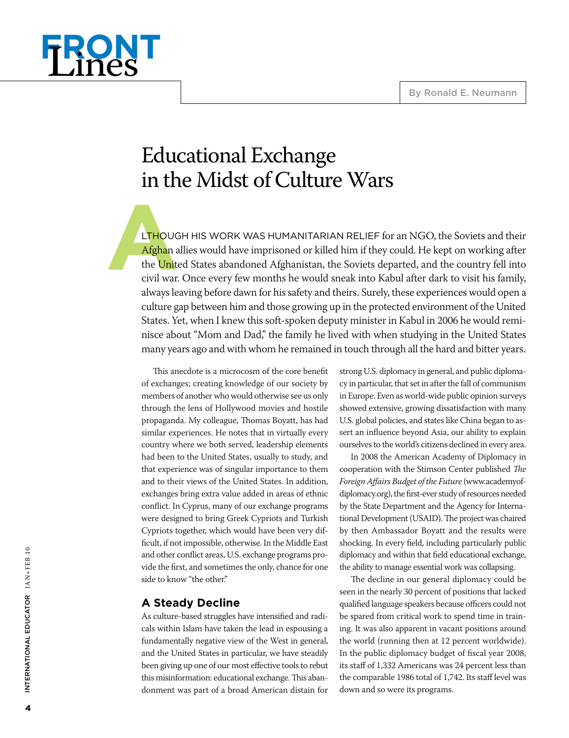

# Educational Exchange in the Midst of Culture Wars

**A** LTHOUGH HIS WORK WAS HUMANITARIAN RELIEF for an NGO, the Soviets and their Afghan allies would have imprisoned or killed him if they could. He kept on working after the United States abandoned Afghanistan, the Soviets departed, and the country fell into civil war. Once every few months he would sneak into Kabul after dark to visit his family, always leaving before dawn for his safety and theirs. Surely, these experiences would open a culture gap between him and those growing up in the protected environment of the United States. Yet, when I knew this soft-spoken deputy minister in Kabul in 2006 he would reminisce about "Mom and Dad," the family he lived with when studying in the United States many years ago and with whom he remained in touch through all the hard and bitter years.

This anecdote is a microcosm of the core benefit of exchanges; creating knowledge of our society by members of another who would otherwise see us only through the lens of Hollywood movies and hostile propaganda. My colleague, Thomas Boyatt, has had similar experiences. He notes that in virtually every country where we both served, leadership elements had been to the United States, usually to study, and that experience was of singular importance to them and to their views of the United States. In addition, exchanges bring extra value added in areas of ethnic conflict. In Cyprus, many of our exchange programs were designed to bring Greek Cypriots and Turkish Cypriots together, which would have been very difficult, if not impossible, otherwise. In the Middle East and other conflict areas, U.S. exchange programs provide the first, and sometimes the only, chance for one side to know "the other."

### **A Steady Decline**

As culture-based struggles have intensified and radicals within Islam have taken the lead in espousing a fundamentally negative view of the West in general, and the United States in particular, we have steadily been giving up one of our most effective tools to rebut this misinformation: educational exchange. This abandonment was part of a broad American distain for strong U.S. diplomacy in general, and public diplomacy in particular, that set in after the fall of communism in Europe. Even as world-wide public opinion surveys showed extensive, growing dissatisfaction with many U.S. global policies, and states like China began to assert an influence beyond Asia, our ability to explain ourselves to the world's citizens declined in every area.

In 2008 the American Academy of Diplomacy in cooperation with the Stimson Center published *The Foreign Affairs Budget of the Future* (www.academyofdiplomacy.org), the first-ever study of resources needed by the State Department and the Agency for International Development (USAID). The project was chaired by then Ambassador Boyatt and the results were shocking. In every field, including particularly public diplomacy and within that field educational exchange, the ability to manage essential work was collapsing.

The decline in our general diplomacy could be seen in the nearly 30 percent of positions that lacked qualified language speakers because officers could not be spared from critical work to spend time in training. It was also apparent in vacant positions around the world (running then at 12 percent worldwide). In the public diplomacy budget of fiscal year 2008, its staff of 1,332 Americans was 24 percent less than the comparable 1986 total of 1,742. Its staff level was down and so were its programs.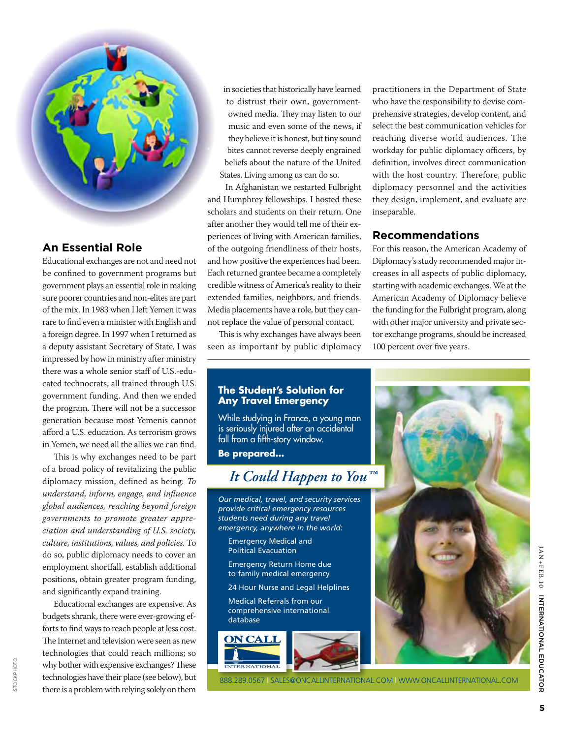

# **An Essential Role**

Educational exchanges are not and need not be confined to government programs but government plays an essential role in making sure poorer countries and non-elites are part of the mix. In 1983 when I left Yemen it was rare to find even a minister with English and a foreign degree. In 1997 when I returned as a deputy assistant Secretary of State, I was impressed by how in ministry after ministry there was a whole senior staff of U.S.-educated technocrats, all trained through U.S. government funding. And then we ended the program. There will not be a successor generation because most Yemenis cannot afford a U.S. education. As terrorism grows in Yemen, we need all the allies we can find.

This is why exchanges need to be part of a broad policy of revitalizing the public diplomacy mission, defined as being: *To understand, inform, engage, and influence global audiences, reaching beyond foreign governments to promote greater appreciation and understanding of U.S. society, culture, institutions, values, and policies.* To do so, public diplomacy needs to cover an employment shortfall, establish additional positions, obtain greater program funding, and significantly expand training.

Educational exchanges are expensive. As budgets shrank, there were ever-growing efforts to find ways to reach people at less cost. The Internet and television were seen as new technologies that could reach millions; so why bother with expensive exchanges? These technologies have their place (see below), but there is a problem with relying solely on them

istockphoto

STOCKPHOTO

in societies that historically have learned to distrust their own, governmentowned media. They may listen to our music and even some of the news, if they believe it is honest, but tiny sound bites cannot reverse deeply engrained beliefs about the nature of the United States. Living among us can do so.

In Afghanistan we restarted Fulbright and Humphrey fellowships. I hosted these scholars and students on their return. One after another they would tell me of their experiences of living with American families, of the outgoing friendliness of their hosts, and how positive the experiences had been. Each returned grantee became a completely credible witness of America's reality to their extended families, neighbors, and friends. Media placements have a role, but they cannot replace the value of personal contact.

This is why exchanges have always been seen as important by public diplomacy practitioners in the Department of State who have the responsibility to devise comprehensive strategies, develop content, and select the best communication vehicles for reaching diverse world audiences. The workday for public diplomacy officers, by definition, involves direct communication with the host country. Therefore, public diplomacy personnel and the activities they design, implement, and evaluate are inseparable.

#### **Recommendations**

For this reason, the American Academy of Diplomacy's study recommended major increases in all aspects of public diplomacy, starting with academic exchanges. We at the American Academy of Diplomacy believe the funding for the Fulbright program, along with other major university and private sector exchange programs, should be increased 100 percent over five years.

#### **The Student's Solution for Any Travel Emergency**

While studying in France, a young man is seriously injured after an accidental fall from a fifth-story window.

**Be prepared...**

# *It Could Happen to You™*

*Our medical, travel, and security services provide critical emergency resources students need during any travel emergency, anywhere in the world:*

Emergency Medical and Political Evacuation

Emergency Return Home due to family medical emergency

24 Hour Nurse and Legal Helplines

**Nedical Referrals from our** comprehensive international database



OPTION 2B JUNE 6, 2008 PMS 100 PMS 108 PMS 654



888.289.0567 | sales@oncallinternational.com | www.oncallinternational.com